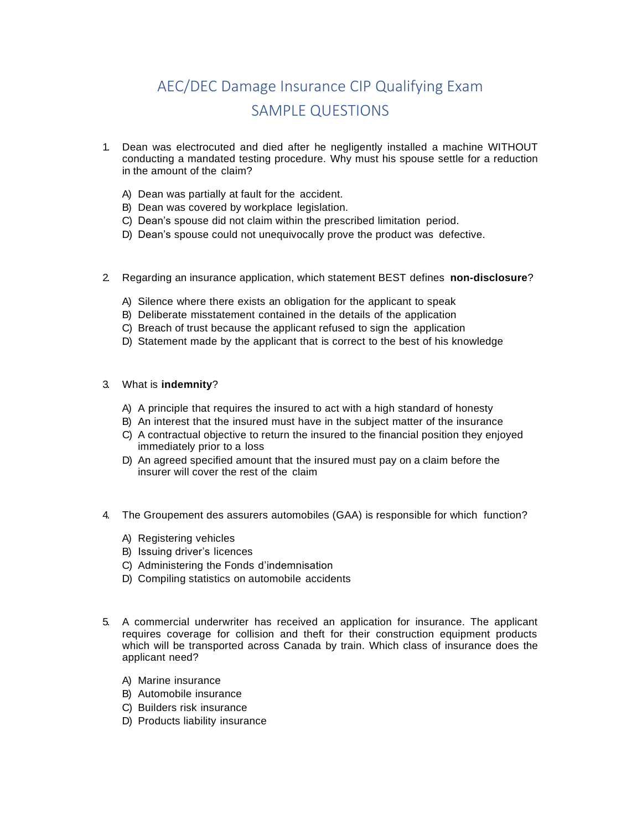## AEC/DEC Damage Insurance CIP Qualifying Exam SAMPLE QUESTIONS

- 1. Dean was electrocuted and died after he negligently installed a machine WITHOUT conducting a mandated testing procedure. Why must his spouse settle for a reduction in the amount of the claim?
	- A) Dean was partially at fault for the accident.
	- B) Dean was covered by workplace legislation.
	- C) Dean's spouse did not claim within the prescribed limitation period.
	- D) Dean's spouse could not unequivocally prove the product was defective.
- 2. Regarding an insurance application, which statement BEST defines **non-disclosure**?
	- A) Silence where there exists an obligation for the applicant to speak
	- B) Deliberate misstatement contained in the details of the application
	- C) Breach of trust because the applicant refused to sign the application
	- D) Statement made by the applicant that is correct to the best of his knowledge
- 3. What is **indemnity**?
	- A) A principle that requires the insured to act with a high standard of honesty
	- B) An interest that the insured must have in the subject matter of the insurance
	- C) A contractual objective to return the insured to the financial position they enjoyed immediately prior to a loss
	- D) An agreed specified amount that the insured must pay on a claim before the insurer will cover the rest of the claim
- 4. The Groupement des assurers automobiles (GAA) is responsible for which function?
	- A) Registering vehicles
	- B) Issuing driver's licences
	- C) Administering the Fonds d'indemnisation
	- D) Compiling statistics on automobile accidents
- 5. A commercial underwriter has received an application for insurance. The applicant requires coverage for collision and theft for their construction equipment products which will be transported across Canada by train. Which class of insurance does the applicant need?
	- A) Marine insurance
	- B) Automobile insurance
	- C) Builders risk insurance
	- D) Products liability insurance